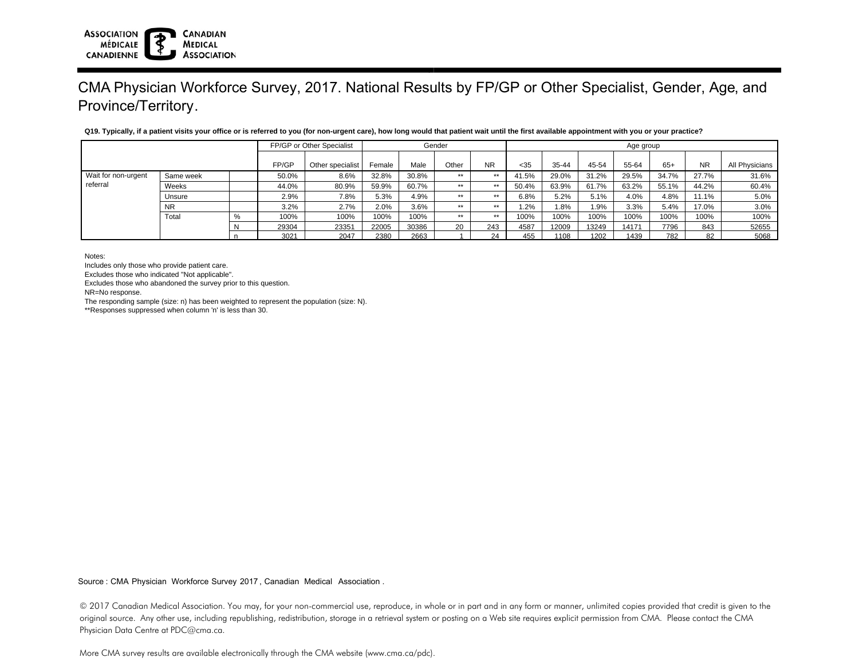| Q19.<br>), how long would that patient wait until the first .<br>s vour office or is.<br>Tvnically.<br>. available<br>' practice<br>s referred to vou (for non-urgent care). .<br>e appointment<br>ı natient<br>visit<br>vou |            |          |                                     |  |  |  |  |  |  |  |
|------------------------------------------------------------------------------------------------------------------------------------------------------------------------------------------------------------------------------|------------|----------|-------------------------------------|--|--|--|--|--|--|--|
|                                                                                                                                                                                                                              | ∽necialie. | . - ande | $A$ $A \triangle$ $A$ $A \triangle$ |  |  |  |  |  |  |  |

|                     |           |       | FP/GP or Other Specialist |        |       |       | Gender    |       | Age group |       |       |       |           |                |       |  |
|---------------------|-----------|-------|---------------------------|--------|-------|-------|-----------|-------|-----------|-------|-------|-------|-----------|----------------|-------|--|
|                     |           | FP/GP | Other specialist          | Female | Male  | Other | <b>NR</b> | < 35  | 35-44     | 45-54 | 55-64 | $65+$ | <b>NR</b> | All Physicians |       |  |
| Wait for non-urgent | Same week |       | 50.0%                     | 8.6%   | 32.8% | 30.8% | $***$     | $***$ | 41.5%     | 29.0% | 31.2% | 29.5% | 34.7%     | 27.7%          | 31.6% |  |
| referral            | Weeks     |       | 44.0%                     | 80.9%  | 59.9% | 60.7% | $***$     | $***$ | 50.4%     | 63.9% | 61.7% | 63.2% | 55.1%     | 44.2%          | 60.4% |  |
|                     | Unsure    |       | 2.9%                      | 7.8%   | 5.3%  | 4.9%  | $***$     | $***$ | 6.8%      | 5.2%  | 5.1%  | 4.0%  | 4.8%      | 11.1%          | 5.0%  |  |
|                     | <b>NR</b> |       | 3.2%                      | 2.7%   | 2.0%  | 3.6%  | $***$     | $***$ | ، 2%،     | 1.8%  | 1.9%  | 3.3%  | 5.4%      | 17.0%          | 3.0%  |  |
|                     | Total     |       | 100%                      | 100%   | 100%  | 100%  | $***$     | $***$ | 100%      | 100%  | 100%  | 100%  | 100%      | 100%           | 100%  |  |
|                     |           |       | 29304                     | 23351  | 22005 | 30386 | 20        | 243   | 4587      | 12009 | 13249 | 14171 | 7796      | 843            | 52655 |  |
|                     |           |       | 3021                      | 2047   | 2380  | 2663  |           | 24    | 455       | 1108  | 1202  | 1439  | 782       | 82             | 5068  |  |

Notes:

Includes only those who provide patient care.

Excludes those who indicated "Not applicable".

Excludes those who abandoned the survey prior to this question.

**CANADIAN** 

**MEDICAL ASSOCIATION** 

NR=No response.

**ASSOCIATION** 

**CANADIENNE** 

**MÉDICALE** 

The responding sample (size: n) has been weighted to represent the population (size: N).

\*\*Responses suppressed when column 'n' is less than 30.

Source : CMA Physician Workforce Survey 2017, Canadian Medical Association .

© 2017 Canadian Medical Association. You may, for your non-commercial use, reproduce, in whole or in part and in any form or manner, unlimited copies provided that credit is given to the original source. Any other use, including republishing, redistribution, storage in a retrieval system or posting on a Web site requires explicit permission from CMA. Please contact the CMA Physician Data Centre at PDC@cma.ca.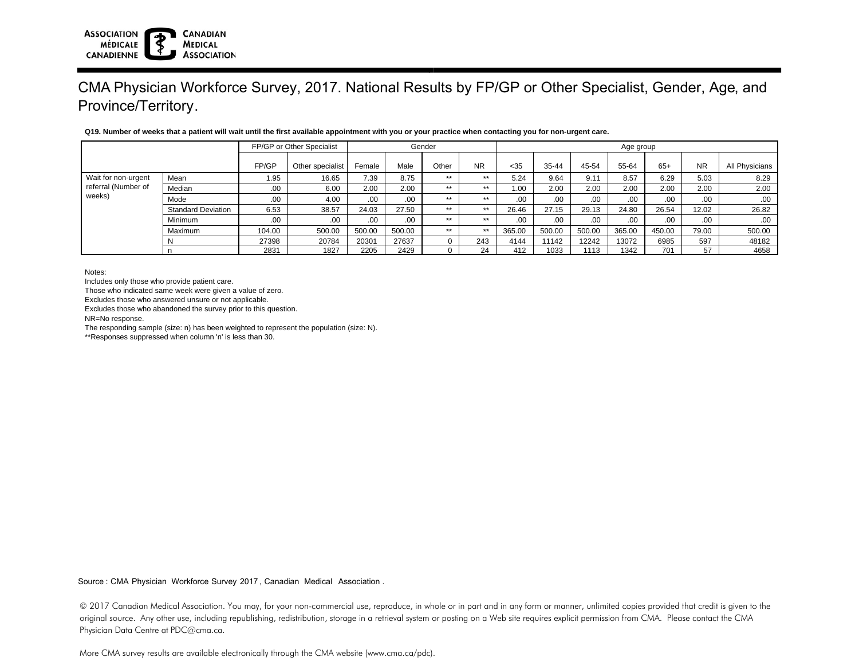|                     |                           |        | FP/GP or Other Specialist |        |        | Gender |       | Age group |           |        |        |        |           |                |  |
|---------------------|---------------------------|--------|---------------------------|--------|--------|--------|-------|-----------|-----------|--------|--------|--------|-----------|----------------|--|
|                     |                           | FP/GP  | Other specialist          | Female | Male   | Other  | NR.   | $35$      | $35 - 44$ | 45-54  | 55-64  | $65+$  | <b>NR</b> | All Physicians |  |
| Wait for non-urgent | Mean                      | 1.95   | 16.65                     | 7.39   | 8.75   | **     | **    | 5.24      | 9.64      | 9.11   | 8.57   | 6.29   | 5.03      | 8.29           |  |
| referral (Number of | Median                    | .00    | 6.00                      | 2.00   | 2.00   | $+ +$  | **    | 1.00      | 2.00      | 2.00   | 2.00   | 2.00   | 2.00      | 2.00           |  |
| weeks)              | Mode                      | .00    | 4.00                      | .00.   | .00    | $+ +$  | $+ +$ | $.00 \,$  | .00       | .00    | .00.   | .00    | .00       | .00            |  |
|                     | <b>Standard Deviation</b> | 6.53   | 38.57                     | 24.03  | 27.50  | **     | **    | 26.46     | 27.15     | 29.13  | 24.80  | 26.54  | 12.02     | 26.82          |  |
|                     | Minimum                   | .00    | .00                       | .00.   | .00.   | **     | **    | .00.      | .00.      | .00    | .00    | .00.   | .00.      | .00            |  |
|                     | Maximum                   | 104.00 | 500.00                    | 500.00 | 500.00 | $**$   | **    | 365.00    | 500.00    | 500.00 | 365.00 | 450.00 | 79.00     | 500.00         |  |
|                     |                           | 27398  | 20784                     | 20301  | 27637  |        | 243   | 4144      | 11142     | 12242  | 13072  | 6985   | 597       | 48182          |  |
|                     |                           | 2831   | 1827                      | 2205   | 2429   |        | 24    | 412       | 1033      | 1113   | 1342   | 701    | 57        | 4658           |  |

#### **Q19. Number of weeks that a patient will wait until the first available appointment with you or your practice when contacting you for non-urgent care.**

Notes:

Includes only those who provide patient care.

Those who indicated same week were given a value of zero.

Excludes those who answered unsure or not applicable.

Excludes those who abandoned the survey prior to this question.

**CANADIAN** 

**MEDICAL ASSOCIATION** 

NR=No response.

**ASSOCIATION** 

**CANADIENNE** 

**MÉDICALE** 

The responding sample (size: n) has been weighted to represent the population (size: N).

\*\*Responses suppressed when column 'n' is less than 30.

Source : CMA Physician Workforce Survey 2017, Canadian Medical Association .

© 2017 Canadian Medical Association. You may, for your non-commercial use, reproduce, in whole or in part and in any form or manner, unlimited copies provided that credit is given to the original source. Any other use, including republishing, redistribution, storage in a retrieval system or posting on a Web site requires explicit permission from CMA. Please contact the CMA Physician Data Centre at PDC@cma.ca.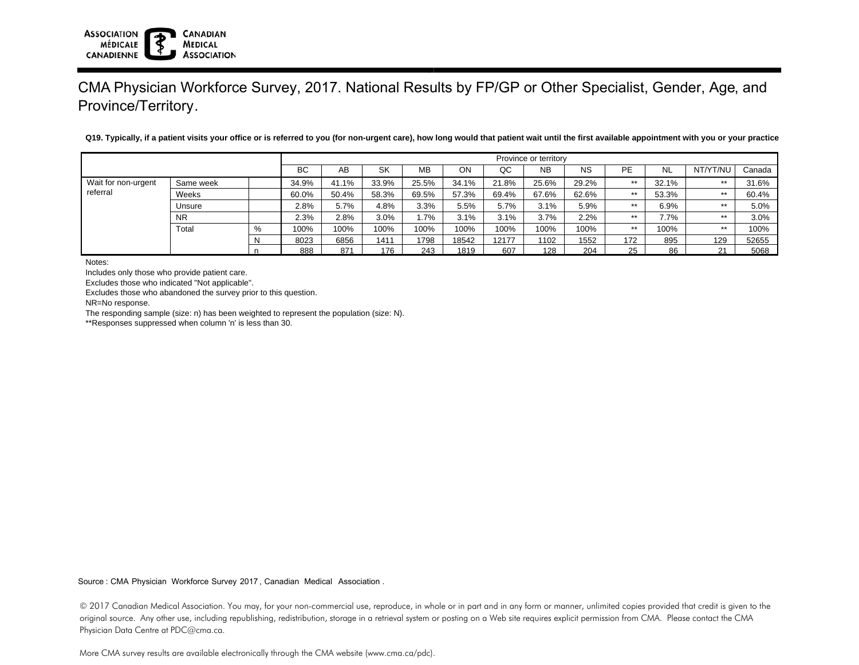**Q19. Typically, if a patient visits your office or is referred to you (for non-urgent care), how long would that patient wait until the first available appointment with you or your practice?**

|                     | Province or territory |  |       |       |       |       |       |       |           |           |           |       |          |        |
|---------------------|-----------------------|--|-------|-------|-------|-------|-------|-------|-----------|-----------|-----------|-------|----------|--------|
|                     |                       |  | BC    | AВ    | SK    | MВ    | OΝ    | QC    | <b>NB</b> | <b>NS</b> | <b>PE</b> | NL    | NT/YT/NU | Canada |
| Wait for non-urgent | Same week             |  | 34.9% | 41.1% | 33.9% | 25.5% | 34.1% | 21.8% | 25.6%     | 29.2%     | $***$     | 32.1% | $***$    | 31.6%  |
| referral            | Weeks                 |  | 60.0% | 50.4% | 58.3% | 69.5% | 57.3% | 69.4% | 67.6%     | 62.6%     | $***$     | 53.3% | $***$    | 60.4%  |
|                     | Unsure                |  | 2.8%  | 5.7%  | 4.8%  | 3.3%  | 5.5%  | 5.7%  | 3.1%      | 5.9%      | $***$     | 6.9%  | $***$    | 5.0%   |
|                     | <b>NR</b>             |  | 2.3%  | 2.8%  | 3.0%  | . 7%  | 3.1%  | 3.1%  | 3.7%      | 2.2%      | $***$     | 7.7%  | $***$    | 3.0%   |
|                     | Total                 |  | 100%  | 100%  | 100%  | 100%  | 100%  | 100%  | 100%      | 100%      | $***$     | 100%  | $***$    | 100%   |
|                     |                       |  | 8023  | 6856  | 1411  | 1798  | 18542 | 12177 | 1102      | 1552      | 172       | 895   | 129      | 52655  |
|                     |                       |  | 888   | 871   | 176   | 243   | 1819  | 607   | 128       | 204       | 25        | 86    | 21       | 5068   |

Notes:

**ASSOCIATION** 

**CANADIENNE** 

**MÉDICALE** 

Includes only those who provide patient care.

Excludes those who indicated "Not applicable".

Excludes those who abandoned the survey prior to this question.

**CANADIAN** 

**MEDICAL ASSOCIATION** 

NR=No response.

The responding sample (size: n) has been weighted to represent the population (size: N).

\*\*Responses suppressed when column 'n' is less than 30.

Source : CMA Physician Workforce Survey 2017, Canadian Medical Association .

<sup>© 2017</sup> Canadian Medical Association. You may, for your non-commercial use, reproduce, in whole or in part and in any form or manner, unlimited copies provided that credit is given to the original source. Any other use, including republishing, redistribution, storage in a retrieval system or posting on a Web site requires explicit permission from CMA. Please contact the CMA Physician Data Centre at PDC@cma.ca.